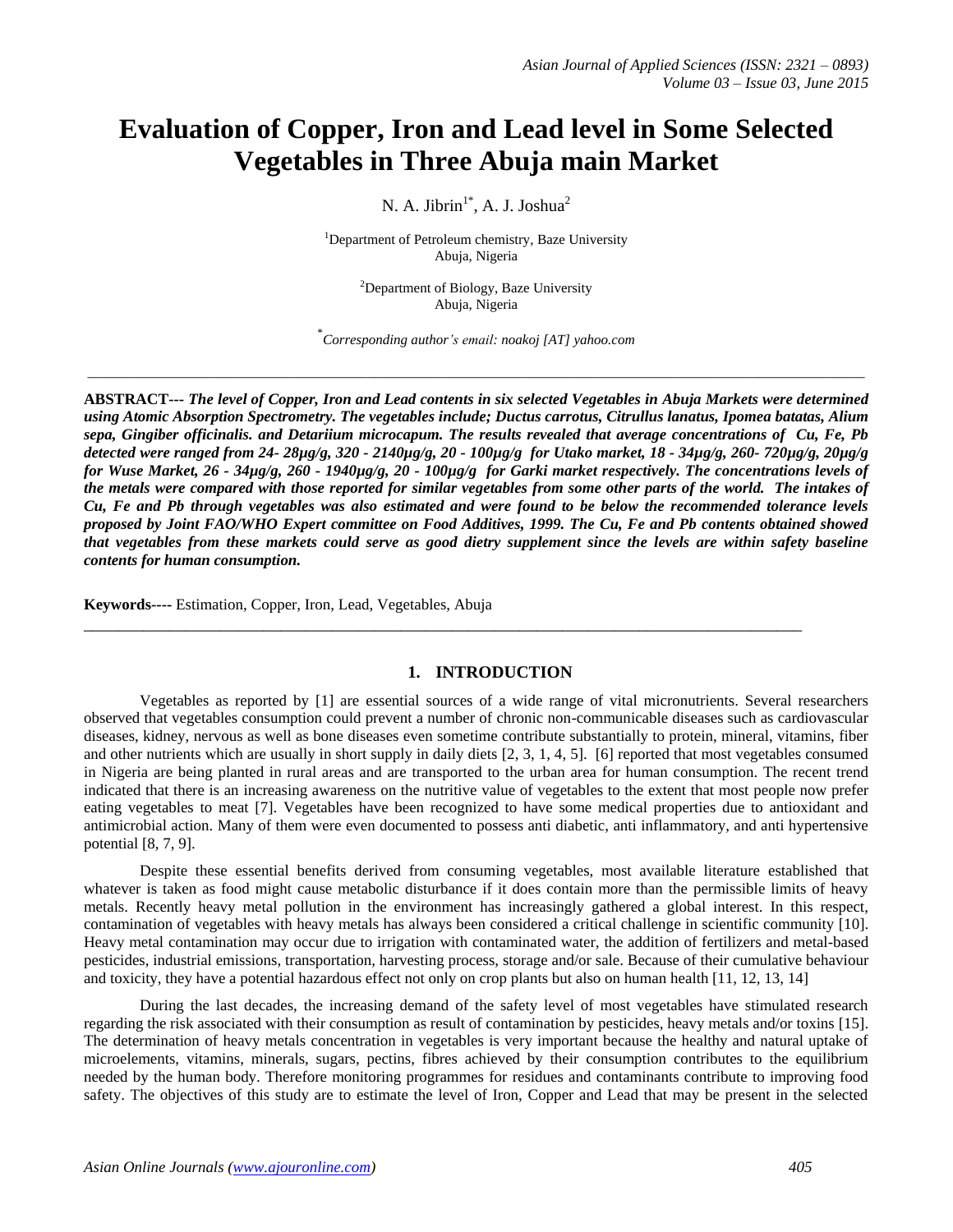# **Evaluation of Copper, Iron and Lead level in Some Selected Vegetables in Three Abuja main Market**

N. A. Jibrin<sup>1\*</sup>, A. J. Joshua<sup>2</sup>

<sup>1</sup>Department of Petroleum chemistry, Baze University Abuja, Nigeria

> <sup>2</sup>Department of Biology, Baze University Abuja, Nigeria

\* *Corresponding author's email: noakoj [AT] yahoo.com*

 $\_$  ,  $\_$  ,  $\_$  ,  $\_$  ,  $\_$  ,  $\_$  ,  $\_$  ,  $\_$  ,  $\_$  ,  $\_$  ,  $\_$  ,  $\_$  ,  $\_$  ,  $\_$  ,  $\_$  ,  $\_$  ,  $\_$  ,  $\_$  ,  $\_$  ,  $\_$  ,  $\_$  ,  $\_$  ,  $\_$  ,  $\_$  ,  $\_$  ,  $\_$  ,  $\_$  ,  $\_$  ,  $\_$  ,  $\_$  ,  $\_$  ,  $\_$  ,  $\_$  ,  $\_$  ,  $\_$  ,  $\_$  ,  $\_$  ,

**ABSTRACT---** *The level of Copper, Iron and Lead contents in six selected Vegetables in Abuja Markets were determined using Atomic Absorption Spectrometry. The vegetables include; Ductus carrotus, Citrullus lanatus, Ipomea batatas, Alium sepa, Gingiber officinalis. and Detariium microcapum. The results revealed that average concentrations of Cu, Fe, Pb detected were ranged from 24- 28µg/g, 320 - 2140µg/g, 20 - 100µg/g for Utako market, 18 - 34µg/g, 260- 720µg/g, 20µg/g for Wuse Market, 26 - 34µg/g, 260 - 1940µg/g, 20 - 100µg/g for Garki market respectively. The concentrations levels of the metals were compared with those reported for similar vegetables from some other parts of the world. The intakes of Cu, Fe and Pb through vegetables was also estimated and were found to be below the recommended tolerance levels proposed by Joint FAO/WHO Expert committee on Food Additives, 1999. The Cu, Fe and Pb contents obtained showed that vegetables from these markets could serve as good dietry supplement since the levels are within safety baseline contents for human consumption.* 

**Keywords----** Estimation, Copper, Iron, Lead, Vegetables, Abuja

## **1. INTRODUCTION**

\_\_\_\_\_\_\_\_\_\_\_\_\_\_\_\_\_\_\_\_\_\_\_\_\_\_\_\_\_\_\_\_\_\_\_\_\_\_\_\_\_\_\_\_\_\_\_\_\_\_\_\_\_\_\_\_\_\_\_\_\_\_\_\_\_\_\_\_\_\_\_\_\_\_\_\_\_\_\_\_\_\_\_\_

Vegetables as reported by [1] are essential sources of a wide range of vital micronutrients. Several researchers observed that vegetables consumption could prevent a number of chronic non-communicable diseases such as cardiovascular diseases, kidney, nervous as well as bone diseases even sometime contribute substantially to protein, mineral, vitamins, fiber and other nutrients which are usually in short supply in daily diets [2, 3, 1, 4, 5]. [6] reported that most vegetables consumed in Nigeria are being planted in rural areas and are transported to the urban area for human consumption. The recent trend indicated that there is an increasing awareness on the nutritive value of vegetables to the extent that most people now prefer eating vegetables to meat [7]. Vegetables have been recognized to have some medical properties due to antioxidant and antimicrobial action. Many of them were even documented to possess anti diabetic, anti inflammatory, and anti hypertensive potential [8, 7, 9].

Despite these essential benefits derived from consuming vegetables, most available literature established that whatever is taken as food might cause metabolic disturbance if it does contain more than the permissible limits of heavy metals. Recently heavy metal pollution in the environment has increasingly gathered a global interest. In this respect, contamination of vegetables with heavy metals has always been considered a critical challenge in scientific community [10]. Heavy metal contamination may occur due to irrigation with contaminated water, the addition of fertilizers and metal-based pesticides, industrial emissions, transportation, harvesting process, storage and/or sale. Because of their cumulative behaviour and toxicity, they have a potential hazardous effect not only on crop plants but also on human health [11, 12, 13, 14]

During the last decades, the increasing demand of the safety level of most vegetables have stimulated research regarding the risk associated with their consumption as result of contamination by pesticides, heavy metals and/or toxins [15]. The determination of heavy metals concentration in vegetables is very important because the healthy and natural uptake of microelements, vitamins, minerals, sugars, pectins, fibres achieved by their consumption contributes to the equilibrium needed by the human body. Therefore monitoring programmes for residues and contaminants contribute to improving food safety. The objectives of this study are to estimate the level of Iron, Copper and Lead that may be present in the selected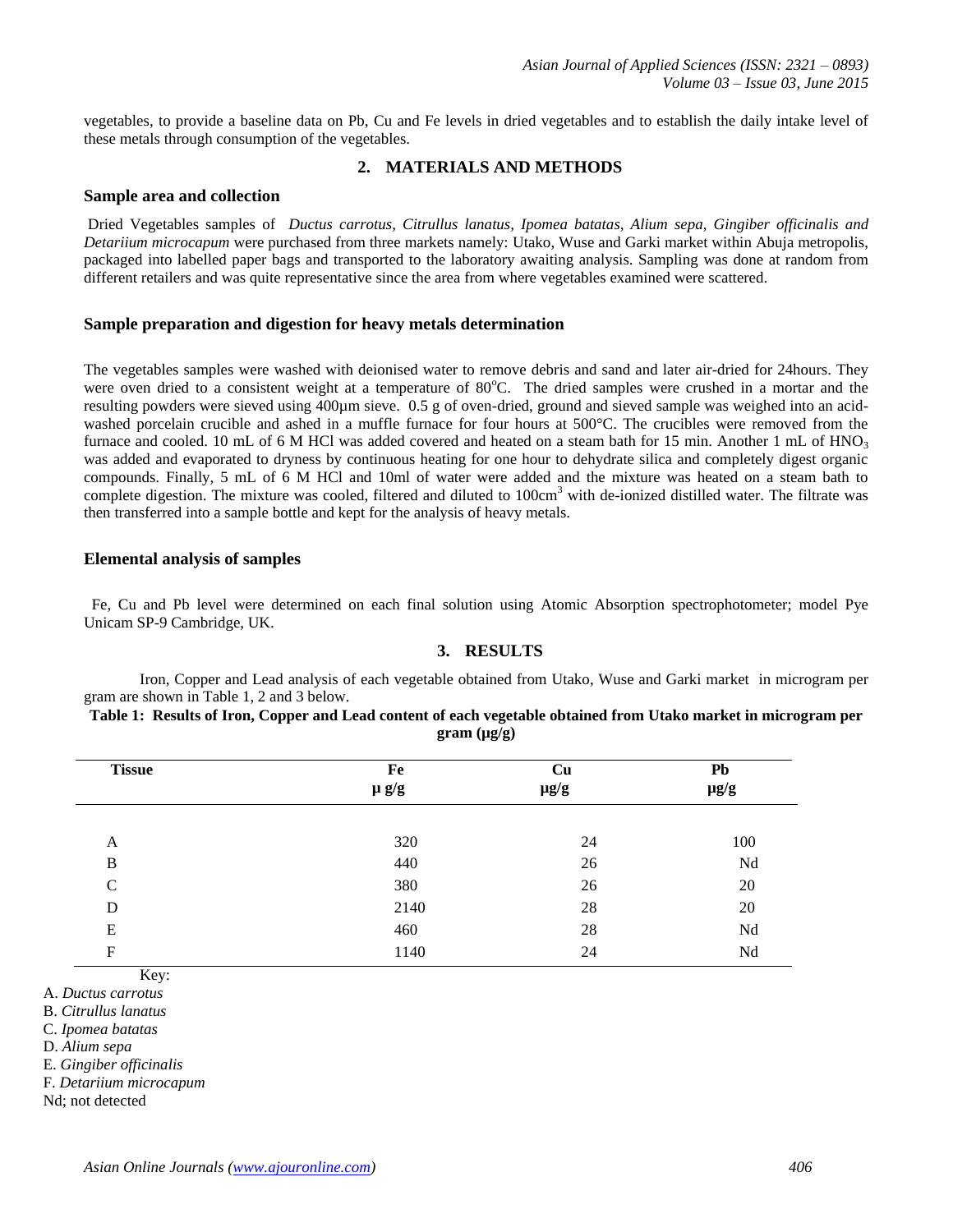vegetables, to provide a baseline data on Pb, Cu and Fe levels in dried vegetables and to establish the daily intake level of these metals through consumption of the vegetables.

# **2. MATERIALS AND METHODS**

## **Sample area and collection**

Dried Vegetables samples of *Ductus carrotus, Citrullus lanatus, Ipomea batatas, Alium sepa, Gingiber officinalis and Detariium microcapum* were purchased from three markets namely: Utako, Wuse and Garki market within Abuja metropolis, packaged into labelled paper bags and transported to the laboratory awaiting analysis. Sampling was done at random from different retailers and was quite representative since the area from where vegetables examined were scattered.

## **Sample preparation and digestion for heavy metals determination**

The vegetables samples were washed with deionised water to remove debris and sand and later air-dried for 24hours. They were oven dried to a consistent weight at a temperature of 80°C. The dried samples were crushed in a mortar and the resulting powders were sieved using 400µm sieve. 0.5 g of oven-dried, ground and sieved sample was weighed into an acidwashed porcelain crucible and ashed in a muffle furnace for four hours at 500°C. The crucibles were removed from the furnace and cooled. 10 mL of 6 M HCl was added covered and heated on a steam bath for 15 min. Another 1 mL of  $HNO<sub>3</sub>$ was added and evaporated to dryness by continuous heating for one hour to dehydrate silica and completely digest organic compounds. Finally, 5 mL of 6 M HCl and 10ml of water were added and the mixture was heated on a steam bath to complete digestion. The mixture was cooled, filtered and diluted to 100cm<sup>3</sup> with de-ionized distilled water. The filtrate was then transferred into a sample bottle and kept for the analysis of heavy metals.

## **Elemental analysis of samples**

 Fe, Cu and Pb level were determined on each final solution using Atomic Absorption spectrophotometer; model Pye Unicam SP-9 Cambridge, UK.

## **3. RESULTS**

Iron, Copper and Lead analysis of each vegetable obtained from Utako, Wuse and Garki market in microgram per gram are shown in Table 1, 2 and 3 below.

**Table 1: Results of Iron, Copper and Lead content of each vegetable obtained from Utako market in microgram per gram (µg/g)**

| <b>Tissue</b>    | Fe        | Cu        | Pb        |
|------------------|-----------|-----------|-----------|
|                  | $\mu$ g/g | $\mu$ g/g | $\mu g/g$ |
| A                | 320       | 24        | 100       |
| $\boldsymbol{B}$ | 440       | 26        | $\rm Nd$  |
| $\mathsf{C}$     | 380       | 26        | 20        |
| D                | 2140      | 28        | 20        |
| E                | 460       | 28        | Nd        |
| F                | 1140      | 24        | Nd        |

Key:

A. *Ductus carrotus*

B. *Citrullus lanatus*

C. *Ipomea batatas*

D. *Alium sepa*

E. *Gingiber officinalis*

F. *Detariium microcapum*

Nd; not detected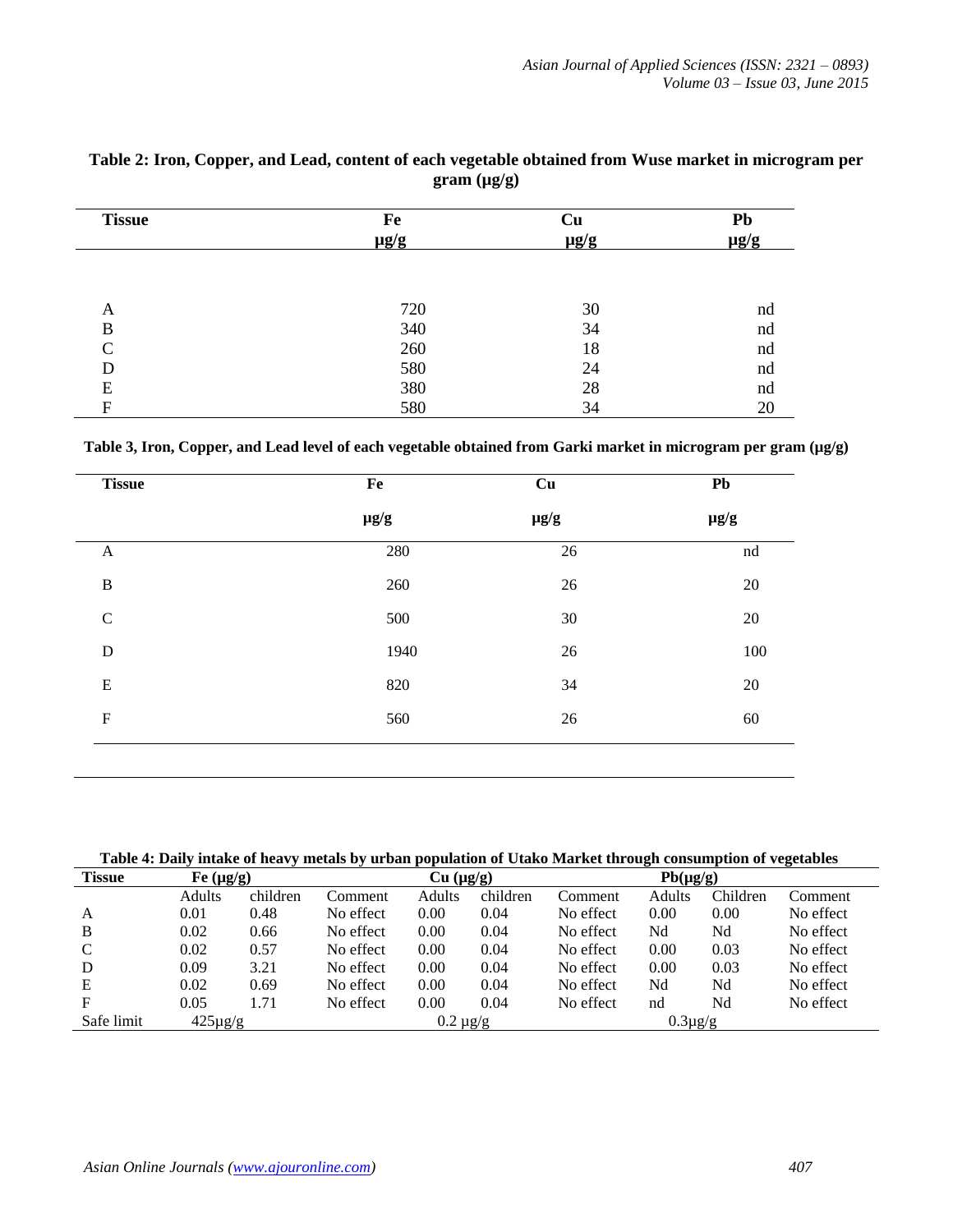| <b>Tissue</b> | Fe        | Cu        | Pb        |
|---------------|-----------|-----------|-----------|
|               | $\mu$ g/g | $\mu$ g/g | $\mu$ g/g |
|               |           |           |           |
|               |           |           |           |
| A             | 720       | 30        | nd        |
| B             | 340       | 34        | nd        |
| $\sim$        | 260       | 18        | nd        |
| D             | 580       | 24        | nd        |
| E             | 380       | 28        | nd        |
| F             | 580       | 34        | 20        |

# **Table 2: Iron, Copper, and Lead, content of each vegetable obtained from Wuse market in microgram per gram (µg/g)**

| <b>Tissue</b> | Fe        | Cu        | ${\bf Pb}$  |  |
|---------------|-----------|-----------|-------------|--|
|               | $\mu g/g$ | $\mu$ g/g | $\mu$ g/g   |  |
| $\mathbf{A}$  | 280       | 26        | $^{\rm nd}$ |  |
| $\, {\bf B}$  | 260       | 26        | $20\,$      |  |
| $\mathbf C$   | 500       | $30\,$    | $20\,$      |  |
| $\mathbf D$   | 1940      | $26\,$    | 100         |  |
| ${\bf E}$     | 820       | 34        | $20\,$      |  |
| ${\bf F}$     | 560       | 26        | 60          |  |

| Table 4: Daily intake of heavy metals by urban population of Utako Market through consumption of vegetables |  |  |
|-------------------------------------------------------------------------------------------------------------|--|--|
|-------------------------------------------------------------------------------------------------------------|--|--|

| Tissue     | Fe $(\mu g/g)$ |          | Cu (µg/g)     |        |              | $Pb(\mu g/g)$ |        |          |           |
|------------|----------------|----------|---------------|--------|--------------|---------------|--------|----------|-----------|
|            | Adults         | children | Comment       | Adults | children     | Comment       | Adults | Children | Comment   |
| А          | 0.01           | 0.48     | No effect     | 0.00   | 0.04         | No effect     | 0.00   | 0.00     | No effect |
| B          | 0.02           | 0.66     | No effect     | 0.00   | 0.04         | No effect     | Nd     | Nd       | No effect |
|            | 0.02           | 0.57     | No effect     | 0.00   | 0.04         | No effect     | 0.00   | 0.03     | No effect |
| D          | 0.09           | 3.21     | No effect     | 0.00   | 0.04         | No effect     | 0.00   | 0.03     | No effect |
| Е          | 0.02           | 0.69     | No effect     | 0.00   | 0.04         | No effect     | Nd     | Nd       | No effect |
| F          | 0.05           | 1.71     | No effect     | 0.00   | 0.04         | No effect     | nd     | Nd       | No effect |
| Safe limit | $425\mu g/g$   |          | $0.2 \mu g/g$ |        | $0.3\mu g/g$ |               |        |          |           |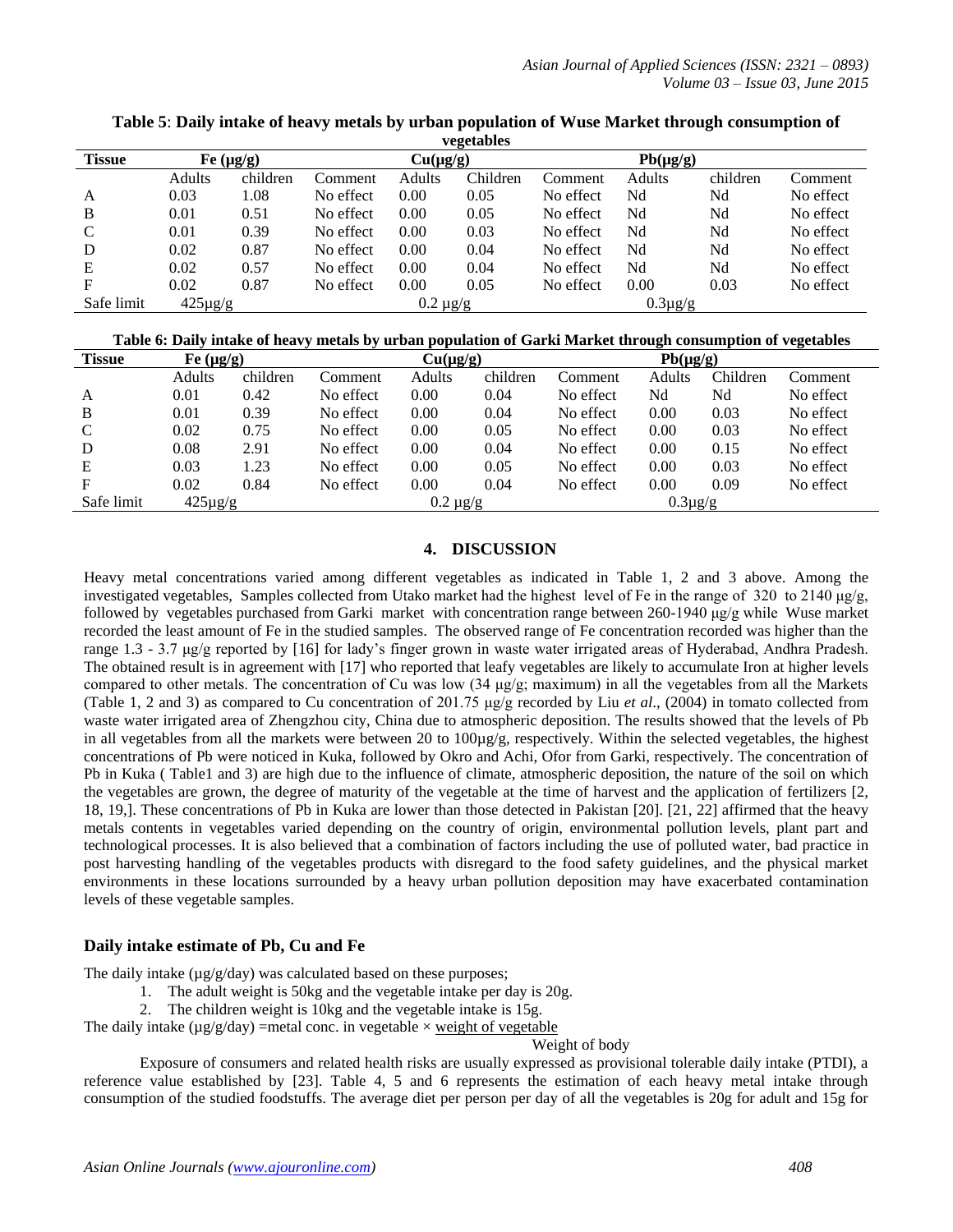| , <del>.</del> |              |                |               |        |          |              |        |          |           |
|----------------|--------------|----------------|---------------|--------|----------|--------------|--------|----------|-----------|
| <b>Tissue</b>  |              | Fe $(\mu g/g)$ | $Cu(\mu g/g)$ |        |          |              |        |          |           |
|                | Adults       | children       | Comment       | Adults | Children | Comment      | Adults | children | Comment   |
| A              | 0.03         | 1.08           | No effect     | 0.00   | 0.05     | No effect    | Nd     | Nd       | No effect |
| B              | 0.01         | 0.51           | No effect     | 0.00   | 0.05     | No effect    | Nd     | Nd       | No effect |
| C              | 0.01         | 0.39           | No effect     | 0.00   | 0.03     | No effect    | Nd     | Nd       | No effect |
| D              | 0.02         | 0.87           | No effect     | 0.00   | 0.04     | No effect    | Nd     | Nd       | No effect |
| E              | 0.02         | 0.57           | No effect     | 0.00   | 0.04     | No effect    | Nd     | Nd       | No effect |
| F              | 0.02         | 0.87           | No effect     | 0.00   | 0.05     | No effect    | 0.00   | 0.03     | No effect |
| Safe limit     | $425\mu g/g$ |                | $0.2 \mu g/g$ |        |          | $0.3\mu$ g/g |        |          |           |

#### **Table 5**: **Daily intake of heavy metals by urban population of Wuse Market through consumption of vegetables**

**Table 6: Daily intake of heavy metals by urban population of Garki Market through consumption of vegetables**

| <b>Tissue</b> | Fe $(\mu g/g)$ |          |               | $Cu(\mu g/g)$ |              |           | $Pb(\mu g/g)$ |          |           |
|---------------|----------------|----------|---------------|---------------|--------------|-----------|---------------|----------|-----------|
|               | <b>Adults</b>  | children | Comment       | Adults        | children     | Comment   | Adults        | Children | Comment   |
| A             | 0.01           | 0.42     | No effect     | 0.00          | 0.04         | No effect | Nd            | Nd       | No effect |
| B             | 0.01           | 0.39     | No effect     | 0.00          | 0.04         | No effect | 0.00          | 0.03     | No effect |
| C             | 0.02           | 0.75     | No effect     | 0.00          | 0.05         | No effect | 0.00          | 0.03     | No effect |
| D             | 0.08           | 2.91     | No effect     | 0.00          | 0.04         | No effect | 0.00          | 0.15     | No effect |
| E             | 0.03           | 1.23     | No effect     | 0.00          | 0.05         | No effect | 0.00          | 0.03     | No effect |
| F             | 0.02           | 0.84     | No effect     | 0.00          | 0.04         | No effect | 0.00          | 0.09     | No effect |
| Safe limit    | $425\mu g/g$   |          | $0.2 \mu g/g$ |               | $0.3\mu$ g/g |           |               |          |           |
|               |                |          |               |               |              |           |               |          |           |

# **4. DISCUSSION**

Heavy metal concentrations varied among different vegetables as indicated in Table 1, 2 and 3 above. Among the investigated vegetables, Samples collected from Utako market had the highest level of Fe in the range of 320 to 2140  $\mu$ g/g, followed by vegetables purchased from Garki market with concentration range between 260-1940 μg/g while Wuse market recorded the least amount of Fe in the studied samples. The observed range of Fe concentration recorded was higher than the range 1.3 - 3.7 μg/g reported by [16] for lady's finger grown in waste water irrigated areas of Hyderabad, Andhra Pradesh. The obtained result is in agreement with [17] who reported that leafy vegetables are likely to accumulate Iron at higher levels compared to other metals. The concentration of Cu was low (34 μg/g; maximum) in all the vegetables from all the Markets (Table 1, 2 and 3) as compared to Cu concentration of 201.75 μg/g recorded by Liu *et al*., (2004) in tomato collected from waste water irrigated area of Zhengzhou city, China due to atmospheric deposition. The results showed that the levels of Pb in all vegetables from all the markets were between 20 to  $100\mu\text{g/s}$ , respectively. Within the selected vegetables, the highest concentrations of Pb were noticed in Kuka, followed by Okro and Achi, Ofor from Garki, respectively. The concentration of Pb in Kuka ( Table1 and 3) are high due to the influence of climate, atmospheric deposition, the nature of the soil on which the vegetables are grown, the degree of maturity of the vegetable at the time of harvest and the application of fertilizers [2, 18, 19,]. These concentrations of Pb in Kuka are lower than those detected in Pakistan [20]. [21, 22] affirmed that the heavy metals contents in vegetables varied depending on the country of origin, environmental pollution levels, plant part and technological processes. It is also believed that a combination of factors including the use of polluted water, bad practice in post harvesting handling of the vegetables products with disregard to the food safety guidelines, and the physical market environments in these locations surrounded by a heavy urban pollution deposition may have exacerbated contamination levels of these vegetable samples.

# **Daily intake estimate of Pb, Cu and Fe**

The daily intake  $(\mu g/g/day)$  was calculated based on these purposes;

1. The adult weight is 50kg and the vegetable intake per day is 20g.

2. The children weight is 10kg and the vegetable intake is 15g.

The daily intake ( $\mu$ g/g/day) =metal conc. in vegetable  $\times$  weight of vegetable

Weight of body

Exposure of consumers and related health risks are usually expressed as provisional tolerable daily intake (PTDI), a reference value established by [23]. Table 4, 5 and 6 represents the estimation of each heavy metal intake through consumption of the studied foodstuffs. The average diet per person per day of all the vegetables is 20g for adult and 15g for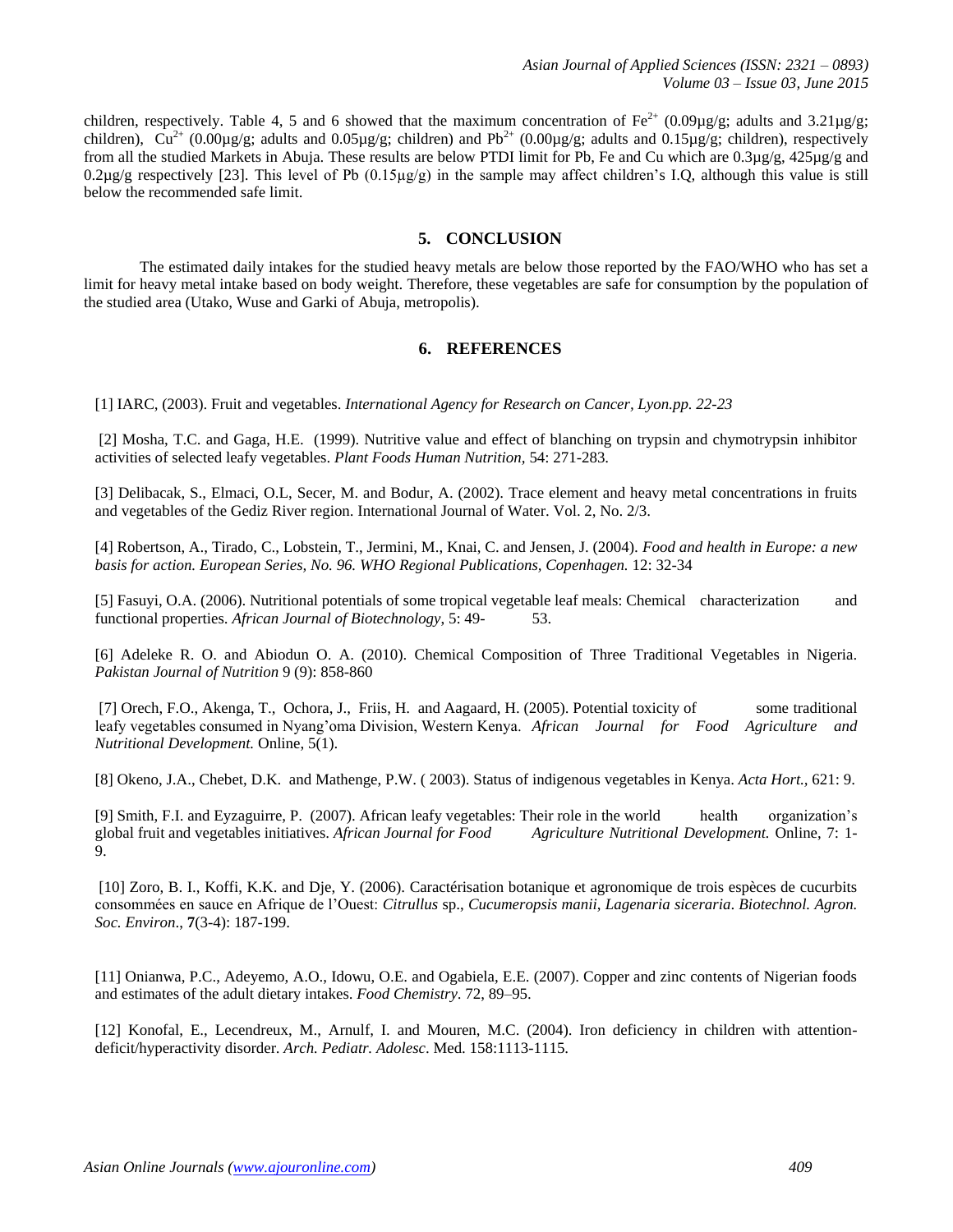children, respectively. Table 4, 5 and 6 showed that the maximum concentration of Fe<sup>2+</sup> (0.09µg/g; adults and 3.21µg/g; children),  $Cu^{2+}$  (0.00 $\mu$ g/g; adults and 0.05 $\mu$ g/g; children) and Pb<sup>2+</sup> (0.00 $\mu$ g/g; adults and 0.15 $\mu$ g/g; children), respectively from all the studied Markets in Abuja. These results are below PTDI limit for Pb, Fe and Cu which are 0.3µg/g, 425µg/g and  $0.2\mu$ g/g respectively [23]. This level of Pb  $(0.15\mu g/g)$  in the sample may affect children's I.Q, although this value is still below the recommended safe limit.

## **5. CONCLUSION**

The estimated daily intakes for the studied heavy metals are below those reported by the FAO/WHO who has set a limit for heavy metal intake based on body weight. Therefore, these vegetables are safe for consumption by the population of the studied area (Utako, Wuse and Garki of Abuja, metropolis).

## **6. REFERENCES**

[1] IARC, (2003). Fruit and vegetables. *International Agency for Research on Cancer, Lyon.pp. 22-23*

[2] Mosha, T.C. and Gaga, H.E. (1999). Nutritive value and effect of blanching on trypsin and chymotrypsin inhibitor activities of selected leafy vegetables. *Plant Foods Human Nutrition,* 54: 271-283.

[3] Delibacak, S., Elmaci, O.L, Secer, M. and Bodur, A. (2002). Trace element and heavy metal concentrations in fruits and vegetables of the Gediz River region. International Journal of Water. Vol. 2, No. 2/3.

[4] Robertson, A., Tirado, C., Lobstein, T., Jermini, M., Knai, C. and Jensen, J. (2004)*. Food and health in Europe: a new basis for action. European Series, No. 96. WHO Regional Publications, Copenhagen.* 12: 32-34

[5] Fasuyi, O.A. (2006). Nutritional potentials of some tropical vegetable leaf meals: Chemical characterization and functional properties. *African Journal of Biotechnology*, 5:49- 53.

[6] Adeleke R. O. and Abiodun O. A. (2010). Chemical Composition of Three Traditional Vegetables in Nigeria. *Pakistan Journal of Nutrition* 9 (9): 858-860

[7] Orech, F.O., Akenga, T., Ochora, J., Friis, H. and Aagaard, H. (2005). Potential toxicity of some traditional leafy vegetables consumed in Nyang'oma Division, Western Kenya. *African Journal for Food Agriculture and Nutritional Development.* Online, 5(1).

[8] Okeno, J.A., Chebet, D.K. and Mathenge, P.W. ( 2003). Status of indigenous vegetables in Kenya. *Acta Hort.,* 621: 9.

[9] Smith, F.I. and Eyzaguirre, P. (2007). African leafy vegetables: Their role in the world health organization's global fruit and vegetables initiatives. *African Journal for Food Agriculture Nutritional Development.* Online, 7: 1- 9.

[10] Zoro, B. I., Koffi, K.K. and Dje, Y. (2006). Caractérisation botanique et agronomique de trois espèces de cucurbits consommées en sauce en Afrique de l'Ouest: *Citrullus* sp., *Cucumeropsis manii*, *Lagenaria siceraria*. *Biotechnol. Agron. Soc. Environ*., **7**(3-4): 187-199.

[11] Onianwa, P.C., Adeyemo, A.O., Idowu, O.E. and Ogabiela, E.E. (2007). Copper and zinc contents of Nigerian foods and estimates of the adult dietary intakes. *Food Chemistry*. 72, 89–95.

[12] Konofal, E., Lecendreux, M., Arnulf, I. and Mouren, M.C. (2004). Iron deficiency in children with attentiondeficit/hyperactivity disorder. *Arch. Pediatr. Adolesc*. Med. 158:1113-1115.